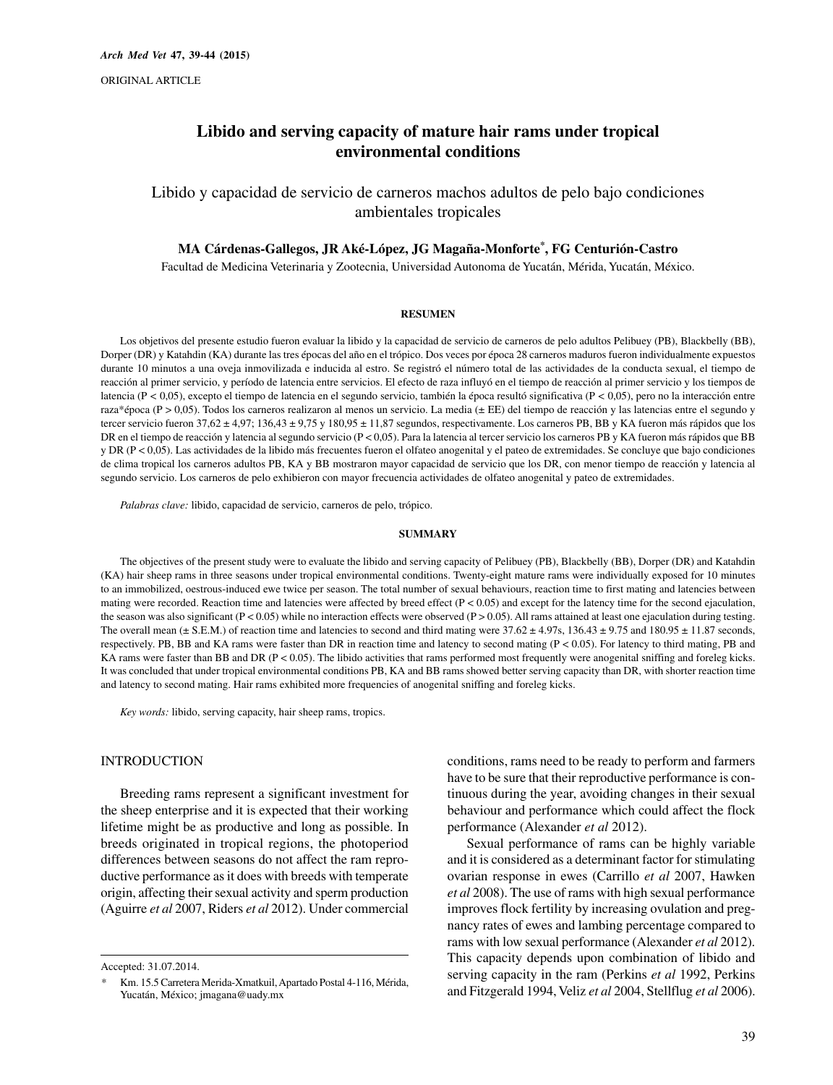# **Libido and serving capacity of mature hair rams under tropical environmental conditions**

Libido y capacidad de servicio de carneros machos adultos de pelo bajo condiciones ambientales tropicales

#### **MA Cárdenas-Gallegos, JR Aké-López, JG Magaña-Monforte\*, FG Centurión-Castro**

Facultad de Medicina Veterinaria y Zootecnia, Universidad Autonoma de Yucatán, Mérida, Yucatán, México.

#### **RESUMEN**

Los objetivos del presente estudio fueron evaluar la libido y la capacidad de servicio de carneros de pelo adultos Pelibuey (PB), Blackbelly (BB), Dorper (DR) y Katahdin (KA) durante las tres épocas del año en el trópico. Dos veces por época 28 carneros maduros fueron individualmente expuestos durante 10 minutos a una oveja inmovilizada e inducida al estro. Se registró el número total de las actividades de la conducta sexual, el tiempo de reacción al primer servicio, y período de latencia entre servicios. El efecto de raza influyó en el tiempo de reacción al primer servicio y los tiempos de latencia (P *<* 0,05), excepto el tiempo de latencia en el segundo servicio, también la época resultó significativa (P *<* 0,05), pero no la interacción entre raza\*época (P > 0,05). Todos los carneros realizaron al menos un servicio. La media (± EE) del tiempo de reacción y las latencias entre el segundo y tercer servicio fueron 37,62 ± 4,97; 136,43 ± 9,75 y 180,95 ± 11,87 segundos, respectivamente. Los carneros PB, BB y KA fueron más rápidos que los DR en el tiempo de reacción y latencia al segundo servicio (P < 0,05). Para la latencia al tercer servicio los carneros PB y KA fueron más rápidos que BB y DR (P < 0,05). Las actividades de la libido más frecuentes fueron el olfateo anogenital y el pateo de extremidades. Se concluye que bajo condiciones de clima tropical los carneros adultos PB, KA y BB mostraron mayor capacidad de servicio que los DR, con menor tiempo de reacción y latencia al segundo servicio. Los carneros de pelo exhibieron con mayor frecuencia actividades de olfateo anogenital y pateo de extremidades.

*Palabras clave:* libido, capacidad de servicio, carneros de pelo, trópico.

#### **SUMMARY**

The objectives of the present study were to evaluate the libido and serving capacity of Pelibuey (PB), Blackbelly (BB), Dorper (DR) and Katahdin (KA) hair sheep rams in three seasons under tropical environmental conditions. Twenty-eight mature rams were individually exposed for 10 minutes to an immobilized, oestrous-induced ewe twice per season. The total number of sexual behaviours, reaction time to first mating and latencies between mating were recorded. Reaction time and latencies were affected by breed effect ( $P < 0.05$ ) and except for the latency time for the second ejaculation, the season was also significant  $(P < 0.05)$  while no interaction effects were observed  $(P > 0.05)$ . All rams attained at least one ejaculation during testing. The overall mean ( $\pm$  S.E.M.) of reaction time and latencies to second and third mating were  $37.62 \pm 4.97$ s,  $136.43 \pm 9.75$  and  $180.95 \pm 11.87$  seconds, respectively. PB, BB and KA rams were faster than DR in reaction time and latency to second mating (P < 0.05). For latency to third mating, PB and KA rams were faster than BB and DR (P < 0.05). The libido activities that rams performed most frequently were anogenital sniffing and foreleg kicks. It was concluded that under tropical environmental conditions PB, KA and BB rams showed better serving capacity than DR, with shorter reaction time and latency to second mating. Hair rams exhibited more frequencies of anogenital sniffing and foreleg kicks.

*Key words:* libido, serving capacity, hair sheep rams, tropics.

### INTRODUCTION

Breeding rams represent a significant investment for the sheep enterprise and it is expected that their working lifetime might be as productive and long as possible. In breeds originated in tropical regions, the photoperiod differences between seasons do not affect the ram reproductive performance as it does with breeds with temperate origin, affecting their sexual activity and sperm production (Aguirre *et al* 2007, Riders *et al* 2012). Under commercial

Accepted: 31.07.2014.

conditions, rams need to be ready to perform and farmers have to be sure that their reproductive performance is continuous during the year, avoiding changes in their sexual behaviour and performance which could affect the flock performance (Alexander *et al* 2012).

Sexual performance of rams can be highly variable and it is considered as a determinant factor for stimulating ovarian response in ewes (Carrillo *et al* 2007, Hawken *et al* 2008). The use of rams with high sexual performance improves flock fertility by increasing ovulation and pregnancy rates of ewes and lambing percentage compared to rams with low sexual performance (Alexander *et al* 2012). This capacity depends upon combination of libido and serving capacity in the ram (Perkins *et al* 1992, Perkins and Fitzgerald 1994, Veliz *et al* 2004, Stellflug *et al* 2006).

*<sup>\*</sup>* Km. 15.5 Carretera Merida-Xmatkuil, Apartado Postal 4-116, Mérida, Yucatán, México; jmagana@uady.mx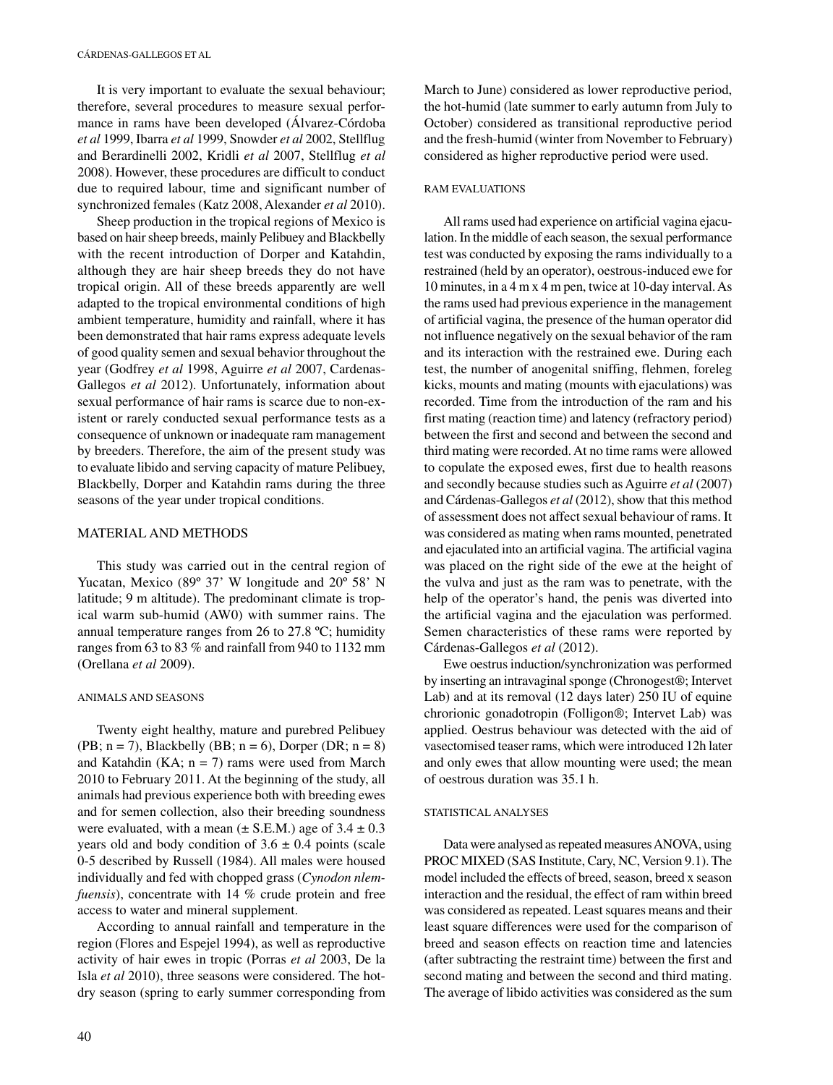It is very important to evaluate the sexual behaviour; therefore, several procedures to measure sexual performance in rams have been developed (Álvarez-Córdoba *et al* 1999, Ibarra *et al* 1999, Snowder *et al* 2002, Stellflug and Berardinelli 2002, Kridli *et al* 2007, Stellflug *et al* 2008). However, these procedures are difficult to conduct due to required labour, time and significant number of synchronized females (Katz 2008, Alexander *et al* 2010).

Sheep production in the tropical regions of Mexico is based on hair sheep breeds, mainly Pelibuey and Blackbelly with the recent introduction of Dorper and Katahdin, although they are hair sheep breeds they do not have tropical origin. All of these breeds apparently are well adapted to the tropical environmental conditions of high ambient temperature, humidity and rainfall, where it has been demonstrated that hair rams express adequate levels of good quality semen and sexual behavior throughout the year (Godfrey *et al* 1998, Aguirre *et al* 2007, Cardenas-Gallegos *et al* 2012). Unfortunately, information about sexual performance of hair rams is scarce due to non-existent or rarely conducted sexual performance tests as a consequence of unknown or inadequate ram management by breeders. Therefore, the aim of the present study was to evaluate libido and serving capacity of mature Pelibuey, Blackbelly, Dorper and Katahdin rams during the three seasons of the year under tropical conditions.

# MATERIAL AND METHODS

This study was carried out in the central region of Yucatan, Mexico (89º 37' W longitude and 20º 58' N latitude; 9 m altitude). The predominant climate is tropical warm sub-humid (AW0) with summer rains. The annual temperature ranges from 26 to 27.8 ºC; humidity ranges from 63 to 83 % and rainfall from 940 to 1132 mm (Orellana *et al* 2009).

#### ANIMALS AND SEASONS

Twenty eight healthy, mature and purebred Pelibuey (PB;  $n = 7$ ), Blackbelly (BB;  $n = 6$ ), Dorper (DR;  $n = 8$ ) and Katahdin (KA;  $n = 7$ ) rams were used from March 2010 to February 2011. At the beginning of the study, all animals had previous experience both with breeding ewes and for semen collection, also their breeding soundness were evaluated, with a mean ( $\pm$  S.E.M.) age of 3.4  $\pm$  0.3 years old and body condition of  $3.6 \pm 0.4$  points (scale 0-5 described by Russell (1984). All males were housed individually and fed with chopped grass (*Cynodon nlemfuensis*), concentrate with 14 % crude protein and free access to water and mineral supplement.

According to annual rainfall and temperature in the region (Flores and Espejel 1994), as well as reproductive activity of hair ewes in tropic (Porras *et al* 2003, De la Isla *et al* 2010), three seasons were considered. The hotdry season (spring to early summer corresponding from March to June) considered as lower reproductive period, the hot-humid (late summer to early autumn from July to October) considered as transitional reproductive period and the fresh-humid (winter from November to February) considered as higher reproductive period were used.

#### RAM EVALUATIONS

All rams used had experience on artificial vagina ejaculation. In the middle of each season, the sexual performance test was conducted by exposing the rams individually to a restrained (held by an operator), oestrous-induced ewe for 10 minutes, in a 4 m x 4 m pen, twice at 10-day interval. As the rams used had previous experience in the management of artificial vagina, the presence of the human operator did not influence negatively on the sexual behavior of the ram and its interaction with the restrained ewe. During each test, the number of anogenital sniffing, flehmen, foreleg kicks, mounts and mating (mounts with ejaculations) was recorded. Time from the introduction of the ram and his first mating (reaction time) and latency (refractory period) between the first and second and between the second and third mating were recorded. At no time rams were allowed to copulate the exposed ewes, first due to health reasons and secondly because studies such as Aguirre *et al* (2007) and Cárdenas-Gallegos *et al* (2012), show that this method of assessment does not affect sexual behaviour of rams. It was considered as mating when rams mounted, penetrated and ejaculated into an artificial vagina. The artificial vagina was placed on the right side of the ewe at the height of the vulva and just as the ram was to penetrate, with the help of the operator's hand, the penis was diverted into the artificial vagina and the ejaculation was performed. Semen characteristics of these rams were reported by Cárdenas-Gallegos *et al* (2012).

Ewe oestrus induction/synchronization was performed by inserting an intravaginal sponge (Chronogest®; Intervet Lab) and at its removal (12 days later) 250 IU of equine chrorionic gonadotropin (Folligon®; Intervet Lab) was applied. Oestrus behaviour was detected with the aid of vasectomised teaser rams, which were introduced 12h later and only ewes that allow mounting were used; the mean of oestrous duration was 35.1 h.

#### STATISTICAL ANALYSES

Data were analysed as repeated measures ANOVA, using PROC MIXED (SAS Institute, Cary, NC, Version 9.1). The model included the effects of breed, season, breed x season interaction and the residual, the effect of ram within breed was considered as repeated. Least squares means and their least square differences were used for the comparison of breed and season effects on reaction time and latencies (after subtracting the restraint time) between the first and second mating and between the second and third mating. The average of libido activities was considered as the sum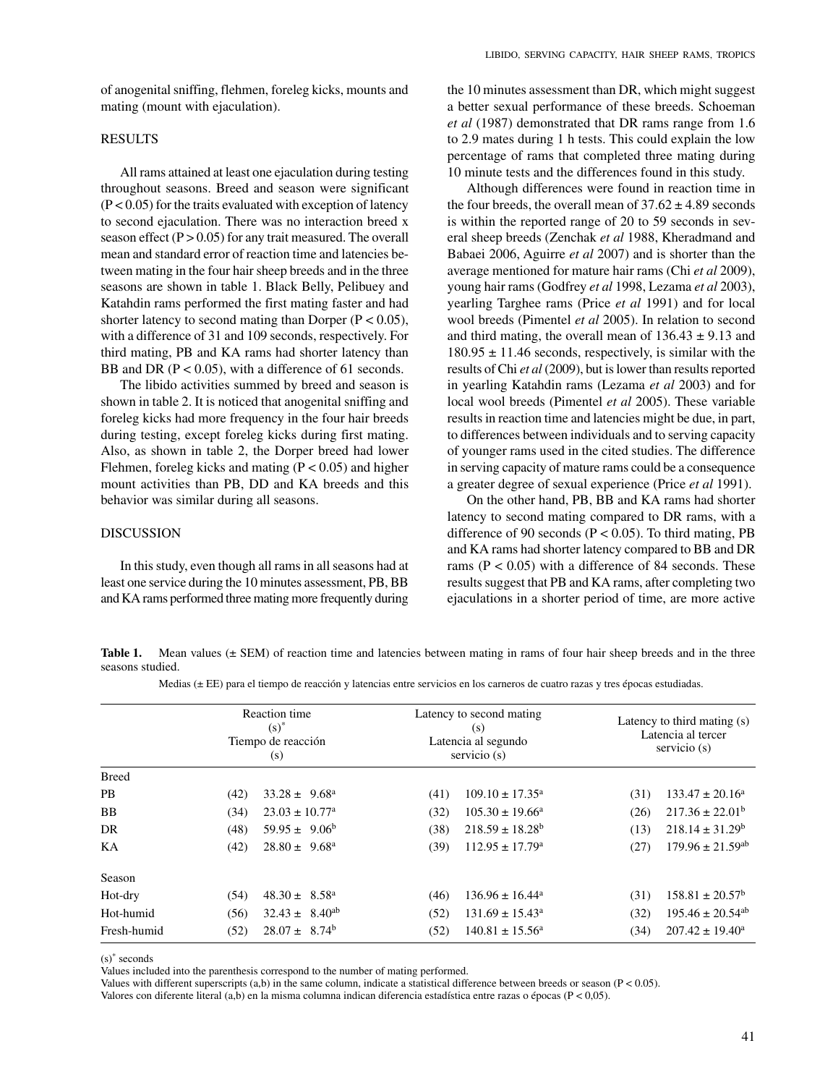of anogenital sniffing, flehmen, foreleg kicks, mounts and mating (mount with ejaculation).

# **RESULTS**

All rams attained at least one ejaculation during testing throughout seasons. Breed and season were significant  $(P < 0.05)$  for the traits evaluated with exception of latency to second ejaculation. There was no interaction breed x season effect  $(P > 0.05)$  for any trait measured. The overall mean and standard error of reaction time and latencies between mating in the four hair sheep breeds and in the three seasons are shown in table 1. Black Belly, Pelibuey and Katahdin rams performed the first mating faster and had shorter latency to second mating than Dorper ( $P < 0.05$ ), with a difference of 31 and 109 seconds, respectively. For third mating, PB and KA rams had shorter latency than BB and DR ( $P < 0.05$ ), with a difference of 61 seconds.

The libido activities summed by breed and season is shown in table 2. It is noticed that anogenital sniffing and foreleg kicks had more frequency in the four hair breeds during testing, except foreleg kicks during first mating. Also, as shown in table 2, the Dorper breed had lower Flehmen, foreleg kicks and mating  $(P < 0.05)$  and higher mount activities than PB, DD and KA breeds and this behavior was similar during all seasons.

### DISCUSSION

In this study, even though all rams in all seasons had at least one service during the 10 minutes assessment, PB, BB and KA rams performed three mating more frequently during

the 10 minutes assessment than DR, which might suggest a better sexual performance of these breeds. Schoeman *et al* (1987) demonstrated that DR rams range from 1.6 to 2.9 mates during 1 h tests. This could explain the low percentage of rams that completed three mating during 10 minute tests and the differences found in this study.

Although differences were found in reaction time in the four breeds, the overall mean of  $37.62 \pm 4.89$  seconds is within the reported range of 20 to 59 seconds in several sheep breeds (Zenchak *et al* 1988, Kheradmand and Babaei 2006, Aguirre *et al* 2007) and is shorter than the average mentioned for mature hair rams (Chi *et al* 2009), young hair rams (Godfrey *et al* 1998, Lezama *et al* 2003), yearling Targhee rams (Price *et al* 1991) and for local wool breeds (Pimentel *et al* 2005). In relation to second and third mating, the overall mean of  $136.43 \pm 9.13$  and  $180.95 \pm 11.46$  seconds, respectively, is similar with the results of Chi *et al* (2009), but is lower than results reported in yearling Katahdin rams (Lezama *et al* 2003) and for local wool breeds (Pimentel *et al* 2005). These variable results in reaction time and latencies might be due, in part, to differences between individuals and to serving capacity of younger rams used in the cited studies. The difference in serving capacity of mature rams could be a consequence a greater degree of sexual experience (Price *et al* 1991).

On the other hand, PB, BB and KA rams had shorter latency to second mating compared to DR rams, with a difference of 90 seconds ( $P < 0.05$ ). To third mating, PB and KA rams had shorter latency compared to BB and DR rams ( $P < 0.05$ ) with a difference of 84 seconds. These results suggest that PB and KA rams, after completing two ejaculations in a shorter period of time, are more active

Table 1. Mean values ( $\pm$  SEM) of reaction time and latencies between mating in rams of four hair sheep breeds and in the three seasons studied.

|  |  | Medias ( $\pm$ EE) para el tiempo de reacción y latencias entre servicios en los carneros de cuatro razas y tres épocas estudiadas. |
|--|--|-------------------------------------------------------------------------------------------------------------------------------------|
|--|--|-------------------------------------------------------------------------------------------------------------------------------------|

|              |      | Reaction time<br>$(s)^*$<br>Tiempo de reacción<br>(s) | Latency to second mating<br>(s)<br>Latencia al segundo<br>servicio (s) |                               | Latency to third mating $(s)$<br>Latencia al tercer<br>servicio (s) |                                  |
|--------------|------|-------------------------------------------------------|------------------------------------------------------------------------|-------------------------------|---------------------------------------------------------------------|----------------------------------|
| <b>Breed</b> |      |                                                       |                                                                        |                               |                                                                     |                                  |
| <b>PB</b>    | (42) | $33.28 \pm 9.68^{\circ}$                              | (41)                                                                   | $109.10 \pm 17.35^{\text{a}}$ | (31)                                                                | $133.47 \pm 20.16^a$             |
| <b>BB</b>    | (34) | $23.03 \pm 10.77^{\circ}$                             | (32)                                                                   | $105.30 \pm 19.66^{\circ}$    | (26)                                                                | $217.36 \pm 22.01^b$             |
| DR           | (48) | $59.95 \pm 9.06^b$                                    | (38)                                                                   | $218.59 \pm 18.28^b$          | (13)                                                                | $218.14 \pm 31.29^b$             |
| KА           | (42) | $28.80 \pm 9.68^{\circ}$                              | (39)                                                                   | $112.95 \pm 17.79^{\circ}$    | (27)                                                                | $179.96 \pm 21.59$ <sup>ab</sup> |
| Season       |      |                                                       |                                                                        |                               |                                                                     |                                  |
| Hot-dry      | (54) | $48.30 \pm 8.58^{\circ}$                              | (46)                                                                   | $136.96 \pm 16.44^a$          | (31)                                                                | $158.81 \pm 20.57^{\rm b}$       |
| Hot-humid    | (56) | $32.43 \pm 8.40^{ab}$                                 | (52)                                                                   | $131.69 \pm 15.43^a$          | (32)                                                                | $195.46 \pm 20.54$ <sup>ab</sup> |
| Fresh-humid  | (52) | $28.07 \pm 8.74^b$                                    | (52)                                                                   | $140.81 \pm 15.56^a$          | (34)                                                                | $207.42 \pm 19.40^a$             |

(s)\* seconds

Values included into the parenthesis correspond to the number of mating performed.

Values with different superscripts  $(a,b)$  in the same column, indicate a statistical difference between breeds or season ( $P < 0.05$ ).

Valores con diferente literal (a,b) en la misma columna indican diferencia estadística entre razas o épocas (P < 0,05).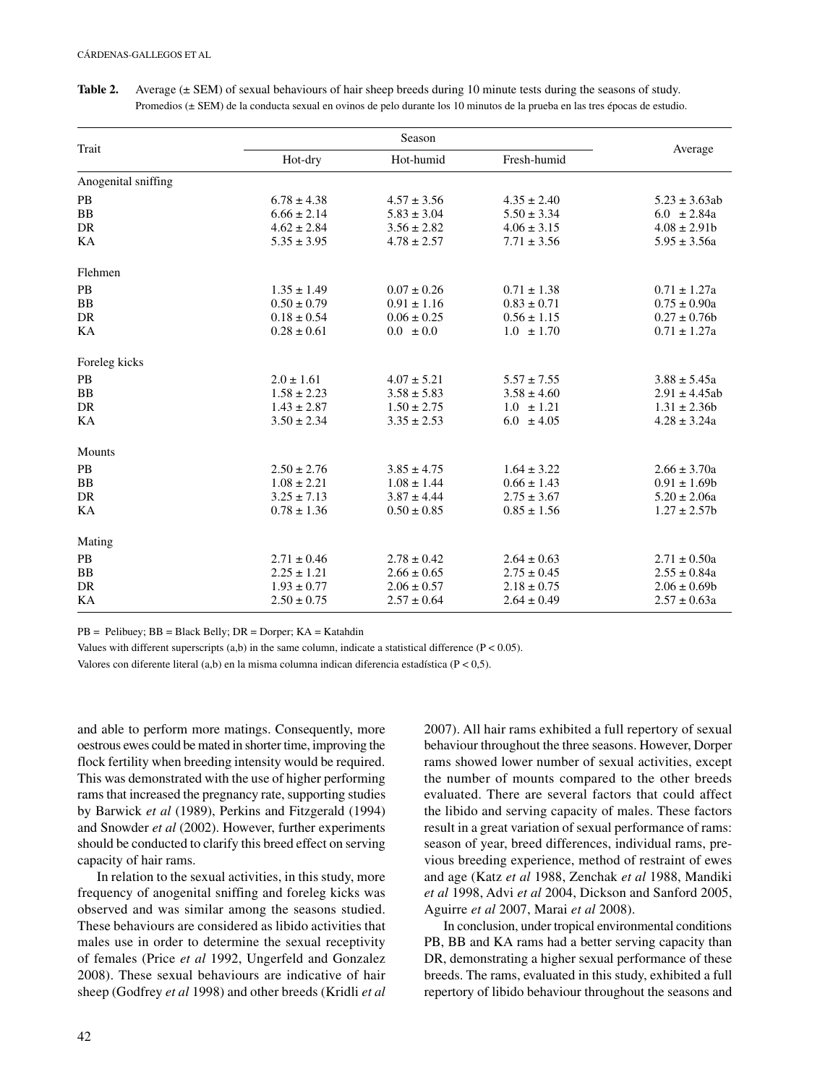| Trait               | Season          |                 |                 |                    |
|---------------------|-----------------|-----------------|-----------------|--------------------|
|                     | Hot-dry         | Hot-humid       | Fresh-humid     | Average            |
| Anogenital sniffing |                 |                 |                 |                    |
| PB                  | $6.78 \pm 4.38$ | $4.57 \pm 3.56$ | $4.35 \pm 2.40$ | $5.23 \pm 3.63ab$  |
| B <sub>B</sub>      | $6.66 \pm 2.14$ | $5.83 \pm 3.04$ | $5.50 \pm 3.34$ | $6.0 \pm 2.84a$    |
| DR                  | $4.62 \pm 2.84$ | $3.56 \pm 2.82$ | $4.06 \pm 3.15$ | $4.08 \pm 2.91b$   |
| KА                  | $5.35 \pm 3.95$ | $4.78 \pm 2.57$ | $7.71 \pm 3.56$ | $5.95 \pm 3.56a$   |
| Flehmen             |                 |                 |                 |                    |
| PB                  | $1.35 \pm 1.49$ | $0.07 \pm 0.26$ | $0.71 \pm 1.38$ | $0.71 \pm 1.27a$   |
| <b>BB</b>           | $0.50 \pm 0.79$ | $0.91 \pm 1.16$ | $0.83 \pm 0.71$ | $0.75 \pm 0.90a$   |
| DR                  | $0.18 \pm 0.54$ | $0.06 \pm 0.25$ | $0.56 \pm 1.15$ | $0.27 \pm 0.76b$   |
| KA                  | $0.28 \pm 0.61$ | $0.0 \pm 0.0$   | $1.0 \pm 1.70$  | $0.71 \pm 1.27a$   |
| Foreleg kicks       |                 |                 |                 |                    |
| PB                  | $2.0 \pm 1.61$  | $4.07 \pm 5.21$ | $5.57 \pm 7.55$ | $3.88 \pm 5.45a$   |
| BB                  | $1.58 \pm 2.23$ | $3.58 \pm 5.83$ | $3.58 \pm 4.60$ | $2.91 \pm 4.45$ ab |
| DR                  | $1.43 \pm 2.87$ | $1.50 \pm 2.75$ | $1.0 \pm 1.21$  | $1.31 \pm 2.36b$   |
| KA                  | $3.50 \pm 2.34$ | $3.35 \pm 2.53$ | $6.0 \pm 4.05$  | $4.28 \pm 3.24a$   |
| Mounts              |                 |                 |                 |                    |
| PB                  | $2.50 \pm 2.76$ | $3.85 \pm 4.75$ | $1.64 \pm 3.22$ | $2.66 \pm 3.70a$   |
| BB                  | $1.08 \pm 2.21$ | $1.08 \pm 1.44$ | $0.66 \pm 1.43$ | $0.91 \pm 1.69b$   |
| DR                  | $3.25 \pm 7.13$ | $3.87 \pm 4.44$ | $2.75 \pm 3.67$ | $5.20 \pm 2.06a$   |
| KА                  | $0.78 \pm 1.36$ | $0.50 \pm 0.85$ | $0.85 \pm 1.56$ | $1.27 \pm 2.57$    |
| Mating              |                 |                 |                 |                    |
| PB                  | $2.71 \pm 0.46$ | $2.78 \pm 0.42$ | $2.64 \pm 0.63$ | $2.71 \pm 0.50a$   |
| ${\bf BB}$          | $2.25 \pm 1.21$ | $2.66 \pm 0.65$ | $2.75 \pm 0.45$ | $2.55 \pm 0.84a$   |
| DR                  | $1.93 \pm 0.77$ | $2.06 \pm 0.57$ | $2.18 \pm 0.75$ | $2.06 \pm 0.69$    |
| KA                  | $2.50 \pm 0.75$ | $2.57 \pm 0.64$ | $2.64 \pm 0.49$ | $2.57 \pm 0.63a$   |

**Table 2.** Average ( $\pm$  SEM) of sexual behaviours of hair sheep breeds during 10 minute tests during the seasons of study. Promedios (± SEM) de la conducta sexual en ovinos de pelo durante los 10 minutos de la prueba en las tres épocas de estudio.

 $PB = Pelibuey$ ;  $BB = Black Belly$ ;  $DR = Dorper$ ;  $KA = Katahdin$ 

Values with different superscripts  $(a,b)$  in the same column, indicate a statistical difference  $(P < 0.05)$ .

Valores con diferente literal (a,b) en la misma columna indican diferencia estadística (P < 0,5).

and able to perform more matings. Consequently, more oestrous ewes could be mated in shorter time, improving the flock fertility when breeding intensity would be required. This was demonstrated with the use of higher performing rams that increased the pregnancy rate, supporting studies by Barwick *et al* (1989), Perkins and Fitzgerald (1994) and Snowder *et al* (2002). However, further experiments should be conducted to clarify this breed effect on serving capacity of hair rams.

In relation to the sexual activities, in this study, more frequency of anogenital sniffing and foreleg kicks was observed and was similar among the seasons studied. These behaviours are considered as libido activities that males use in order to determine the sexual receptivity of females (Price *et al* 1992, Ungerfeld and Gonzalez 2008). These sexual behaviours are indicative of hair sheep (Godfrey *et al* 1998) and other breeds (Kridli *et al* 2007). All hair rams exhibited a full repertory of sexual behaviour throughout the three seasons. However, Dorper rams showed lower number of sexual activities, except the number of mounts compared to the other breeds evaluated. There are several factors that could affect the libido and serving capacity of males. These factors result in a great variation of sexual performance of rams: season of year, breed differences, individual rams, previous breeding experience, method of restraint of ewes and age (Katz *et al* 1988, Zenchak *et al* 1988, Mandiki *et al* 1998, Advi *et al* 2004, Dickson and Sanford 2005, Aguirre *et al* 2007, Marai *et al* 2008).

In conclusion, under tropical environmental conditions PB, BB and KA rams had a better serving capacity than DR, demonstrating a higher sexual performance of these breeds. The rams, evaluated in this study, exhibited a full repertory of libido behaviour throughout the seasons and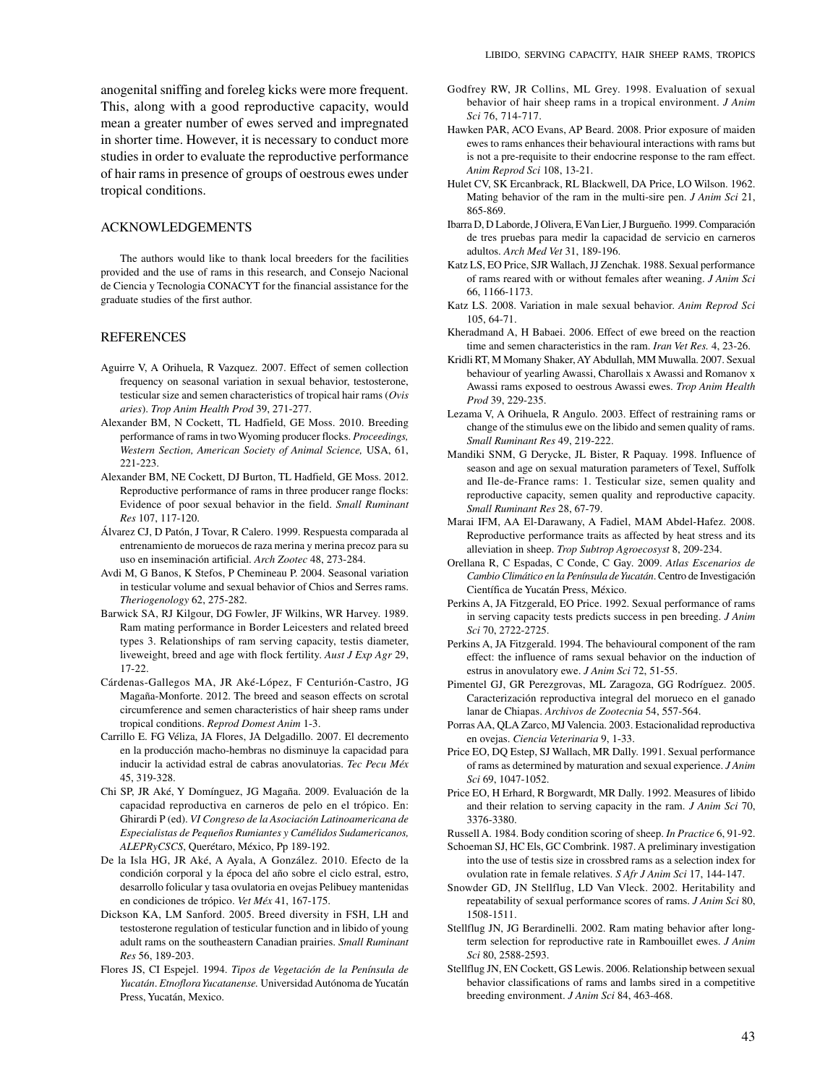anogenital sniffing and foreleg kicks were more frequent. This, along with a good reproductive capacity, would mean a greater number of ewes served and impregnated in shorter time. However, it is necessary to conduct more studies in order to evaluate the reproductive performance of hair rams in presence of groups of oestrous ewes under tropical conditions.

#### ACKNOWLEDGEMENTS

The authors would like to thank local breeders for the facilities provided and the use of rams in this research, and Consejo Nacional de Ciencia y Tecnologia CONACYT for the financial assistance for the graduate studies of the first author.

### **REFERENCES**

- Aguirre V, A Orihuela, R Vazquez. 2007. Effect of semen collection frequency on seasonal variation in sexual behavior, testosterone, testicular size and semen characteristics of tropical hair rams (*Ovis aries*). *Trop Anim Health Prod* 39, 271-277.
- Alexander BM, N Cockett, TL Hadfield, GE Moss. 2010. Breeding performance of rams in two Wyoming producer flocks. *Proceedings, Western Section, American Society of Animal Science,* USA, 61, 221-223.
- Alexander BM, NE Cockett, DJ Burton, TL Hadfield, GE Moss. 2012. Reproductive performance of rams in three producer range flocks: Evidence of poor sexual behavior in the field. *Small Ruminant Res* 107, 117-120.
- Álvarez CJ, D Patón, J Tovar, R Calero. 1999. Respuesta comparada al entrenamiento de moruecos de raza merina y merina precoz para su uso en inseminación artificial. *Arch Zootec* 48, 273-284.
- Avdi M, G Banos, K Stefos, P Chemineau P. 2004. Seasonal variation in testicular volume and sexual behavior of Chios and Serres rams. *Theriogenology* 62, 275-282.
- Barwick SA, RJ Kilgour, DG Fowler, JF Wilkins, WR Harvey. 1989. Ram mating performance in Border Leicesters and related breed types 3. Relationships of ram serving capacity, testis diameter, liveweight, breed and age with flock fertility. *Aust J Exp Agr* 29, 17-22.
- Cárdenas-Gallegos MA, JR Aké-López, F Centurión-Castro, JG Magaña-Monforte. 2012. The breed and season effects on scrotal circumference and semen characteristics of hair sheep rams under tropical conditions. *Reprod Domest Anim* 1-3.
- Carrillo E. FG Véliza, JA Flores, JA Delgadillo. 2007. El decremento en la producción macho-hembras no disminuye la capacidad para inducir la actividad estral de cabras anovulatorias. *Tec Pecu Méx* 45, 319-328.
- Chi SP, JR Aké, Y Domínguez, JG Magaña. 2009. Evaluación de la capacidad reproductiva en carneros de pelo en el trópico. En: Ghirardi P (ed). *VI Congreso de la Asociación Latinoamericana de Especialistas de Pequeños Rumiantes y Camélidos Sudamericanos, ALEPRyCSCS*, Querétaro, México, Pp 189-192.
- De la Isla HG, JR Aké, A Ayala, A González. 2010. Efecto de la condición corporal y la época del año sobre el ciclo estral, estro, desarrollo folicular y tasa ovulatoria en ovejas Pelibuey mantenidas en condiciones de trópico. *Vet Méx* 41, 167-175.
- Dickson KA, LM Sanford. 2005. Breed diversity in FSH, LH and testosterone regulation of testicular function and in libido of young adult rams on the southeastern Canadian prairies. *Small Ruminant Res* 56, 189-203.
- Flores JS, CI Espejel. 1994. *Tipos de Vegetación de la Península de Yucatán*. *Etnoflora Yucatanense.* Universidad Autónoma de Yucatán Press, Yucatán, Mexico.
- Godfrey RW, JR Collins, ML Grey. 1998. Evaluation of sexual behavior of hair sheep rams in a tropical environment. *J Anim Sci* 76, 714-717.
- Hawken PAR, ACO Evans, AP Beard. 2008. Prior exposure of maiden ewes to rams enhances their behavioural interactions with rams but is not a pre-requisite to their endocrine response to the ram effect. *Anim Reprod Sci* 108, 13-21.
- Hulet CV, SK Ercanbrack, RL Blackwell, DA Price, LO Wilson. 1962. Mating behavior of the ram in the multi-sire pen. *J Anim Sci* 21, 865-869.
- Ibarra D, D Laborde, J Olivera, E Van Lier, J Burgueño. 1999. Comparación de tres pruebas para medir la capacidad de servicio en carneros adultos. *Arch Med Vet* 31, 189-196.
- Katz LS, EO Price, SJR Wallach, JJ Zenchak. 1988. Sexual performance of rams reared with or without females after weaning. *J Anim Sci* 66, 1166-1173.
- Katz LS. 2008. Variation in male sexual behavior. *Anim Reprod Sci* 105, 64-71.
- Kheradmand A, H Babaei. 2006. Effect of ewe breed on the reaction time and semen characteristics in the ram. *Iran Vet Res.* 4, 23-26.
- Kridli RT, M Momany Shaker, AY Abdullah, MM Muwalla. 2007. Sexual behaviour of yearling Awassi, Charollais x Awassi and Romanov x Awassi rams exposed to oestrous Awassi ewes. *Trop Anim Health Prod* 39, 229-235.
- Lezama V, A Orihuela, R Angulo. 2003. Effect of restraining rams or change of the stimulus ewe on the libido and semen quality of rams. *Small Ruminant Res* 49, 219-222.
- Mandiki SNM, G Derycke, JL Bister, R Paquay. 1998. Influence of season and age on sexual maturation parameters of Texel, Suffolk and Ile-de-France rams: 1. Testicular size, semen quality and reproductive capacity, semen quality and reproductive capacity. *Small Ruminant Res* 28, 67-79.
- Marai IFM, AA El-Darawany, A Fadiel, MAM Abdel-Hafez. 2008. Reproductive performance traits as affected by heat stress and its alleviation in sheep. *Trop Subtrop Agroecosyst* 8, 209-234.
- Orellana R, C Espadas, C Conde, C Gay. 2009. *Atlas Escenarios de Cambio Climático en la Península de Yucatán*. Centro de Investigación Científica de Yucatán Press, México.
- Perkins A, JA Fitzgerald, EO Price. 1992. Sexual performance of rams in serving capacity tests predicts success in pen breeding. *J Anim Sci* 70, 2722-2725.
- Perkins A, JA Fitzgerald. 1994. The behavioural component of the ram effect: the influence of rams sexual behavior on the induction of estrus in anovulatory ewe. *J Anim Sci* 72, 51-55.
- Pimentel GJ, GR Perezgrovas, ML Zaragoza, GG Rodríguez. 2005. Caracterización reproductiva integral del morueco en el ganado lanar de Chiapas. *Archivos de Zootecnia* 54, 557-564.
- Porras AA, QLA Zarco, MJ Valencia. 2003. Estacionalidad reproductiva en ovejas. *Ciencia Veterinaria* 9, 1-33.
- Price EO, DQ Estep, SJ Wallach, MR Dally. 1991. Sexual performance of rams as determined by maturation and sexual experience. *J Anim Sci* 69, 1047-1052.
- Price EO, H Erhard, R Borgwardt, MR Dally. 1992. Measures of libido and their relation to serving capacity in the ram. *J Anim Sci* 70, 3376-3380.
- Russell A. 1984. Body condition scoring of sheep. *In Practice* 6, 91-92.
- Schoeman SJ, HC Els, GC Combrink. 1987. A preliminary investigation into the use of testis size in crossbred rams as a selection index for ovulation rate in female relatives. *S Afr J Anim Sci* 17, 144-147.
- Snowder GD, JN Stellflug, LD Van Vleck. 2002. Heritability and repeatability of sexual performance scores of rams. *J Anim Sci* 80, 1508-1511.
- Stellflug JN, JG Berardinelli. 2002. Ram mating behavior after longterm selection for reproductive rate in Rambouillet ewes. *J Anim Sci* 80, 2588-2593.
- Stellflug JN, EN Cockett, GS Lewis. 2006. Relationship between sexual behavior classifications of rams and lambs sired in a competitive breeding environment. *J Anim Sci* 84, 463-468.